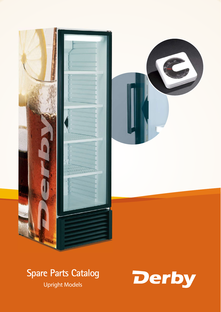

# **Spare Parts Catalog**

Upright Models

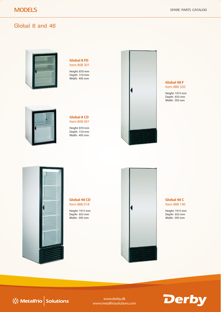## Global 8 and 48



#### **Global 8 FD** Item 808 301

Height: 870 mm Depth: 510 mm Width: 495 mm



#### **Global 8 CD** Item 808 001

Height: 870 mm Depth: 510 mm Width: 495 mm



#### **Global 48 F** Item 888 320

Height: 1915 mm Depth: 655 mm Width: 595 mm



#### **Global 48 CD** Item 888 018

Height: 1915 mm Depth: 655 mm Width: 595 mm



**Global 48 C** Item 888 140

Height: 1915 mm Depth: 655 mm Width: 595 mm



www.derby.dk www.metalfriosolutions.com

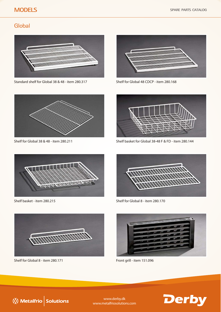# **MODELS**

### **Global**



Standard shelf for Global 38 & 48 - item 280.317 Shelf for Global 48 CDCP - item 280.168





Shelf for Global 38 & 48 - item 280.211



Shelf basket for Global 38-48 F & FD - item 280.144



Shelf basket - item 280.215



Shelf for Global 8 - item 280.170



Shelf for Global 8 - item 280.171



Front grill - item 151.096





www.derby.dk www.metalfriosolutions.com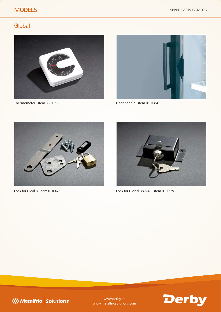# **MODELS**

## **Global**



Thermometer - item 330.021 Door handle - item 010.084







Lock for Gloal 8 - item 010.426 Lock for Global 38 & 48 - item 010.729





www.derby.dk www.metalfriosolutions.com